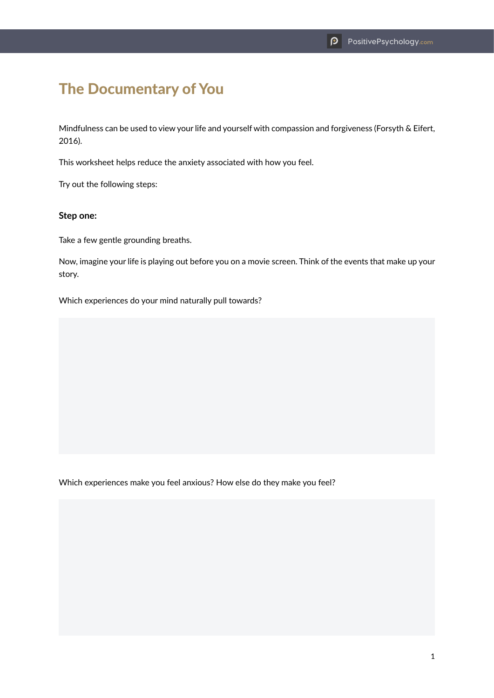## The Documentary of You

Mindfulness can be used to view your life and yourself with compassion and forgiveness (Forsyth & Eifert, 2016).

This worksheet helps reduce the anxiety associated with how you feel.

Try out the following steps:

## **Step one:**

Take a few gentle grounding breaths.

Now, imagine your life is playing out before you on a movie screen. Think of the events that make up your story.

Which experiences do your mind naturally pull towards?

Which experiences make you feel anxious? How else do they make you feel?